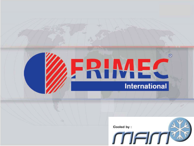# FRIMEC **International**



 $^{\circ}$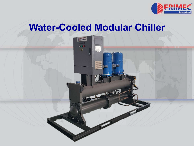

### **Water-Cooled Modular Chiller**

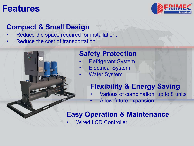### **Features**



#### **Compact & Small Design**

- Reduce the space required for installation.
- Reduce the cost of transportation.

#### **Safety Protection**

- Refrigerant System
- **Electrical System**
- **Water System**

#### **Flexibility & Energy Saving**

- Various of combination, up to 8 units
	- Allow future expansion.

#### **Easy Operation & Maintenance**

**Wired LCD Controller**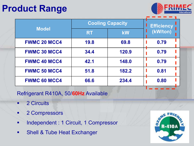## **Product Range**



| <b>Model</b>        | <b>Cooling Capacity</b> |           | <b>Efficiency</b> |
|---------------------|-------------------------|-----------|-------------------|
|                     | <b>RT</b>               | <b>kW</b> | (kW/ton)          |
| <b>FWMC 20 MCC4</b> | 19.8                    | 69.8      | 0.79              |
| <b>FWMC 30 MCC4</b> | 34.4                    | 120.9     | 0.79              |
| <b>FWMC 40 MCC4</b> | 42.1                    | 148.0     | 0.79              |
| <b>FWMC 50 MCC4</b> | 51.8                    | 182.2     | 0.81              |
| <b>FWMC 60 MCC4</b> | 66.6                    | 234.4     | 0.80              |

Refrigerant R410A, 50/**60Hz** Available

- 2 Circuits
- 2 Compressors
- § Independent : 1 Circuit, 1 Compressor
- Shell & Tube Heat Exchanger

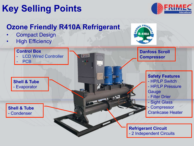## **Key Selling Points**



#### **Ozone Friendly R410A Refrigerant**

- **Compact Design**
- **High Efficiency**



#### **Control Box Danfoss Scroll LCD Wired Controller ERIMEC Compressor**  PCB **DISP Safety Features Shell & Tube**  - HP/LP Switch - HP/LP Pressure - Evaporator **Gauge** - Filter Drier - Sight Glass **Compressor Shell & Tube**  Crankcase Heater - Condenser **Refrigerant Circuit**  - 2 Independent Circuits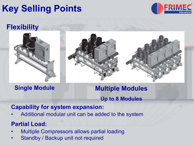## **Key Selling Points**



#### **Flexibility**



**Single Module Multiple Modules Up to 8 Modules**

#### **Capability for system expansion:**

• Additional modular unit can be added to the system

#### **Partial Load:**

- Multiple Compressors allows partial loading
- Standby / Backup unit not required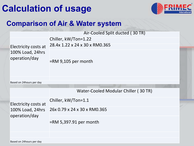## **Calculation of usage**



#### **Comparison of Air & Water system**

| Electricity costs at<br>100% Load, 24hrs<br>operation/day | Air-Cooled Split ducted (30 TR)      |  |  |
|-----------------------------------------------------------|--------------------------------------|--|--|
|                                                           | Chiller, kW/Ton=1.22                 |  |  |
|                                                           | 28.4x 1.22 x 24 x 30 x RM0.365       |  |  |
|                                                           | $=$ RM 9,105 per month               |  |  |
| Based on 24hours per day                                  |                                      |  |  |
|                                                           |                                      |  |  |
|                                                           | Water-Cooled Modular Chiller (30 TR) |  |  |
| Electricity costs at<br>100% Load, 24hrs<br>operation/day | Chiller, kW/Ton=1.1                  |  |  |
|                                                           | 26x 0.79 x 24 x 30 x RM0.365         |  |  |
|                                                           | $=$ RM 5,397.91 per month            |  |  |
|                                                           |                                      |  |  |
|                                                           |                                      |  |  |

Based on 24hours per day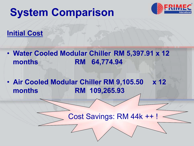## **System Comparison**



#### **Initial Cost**

- **Water Cooled Modular Chiller RM 5,397.91 x 12 months RM 64,774.94**
- **Air Cooled Modular Chiller RM 9,105.50 x 12 months RM 109,265.93**

#### Cost Savings: RM 44k ++ !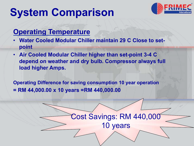## **System Comparison**



#### **Operating Temperature**

- **Water Cooled Modular Chiller maintain 29 C Close to setpoint**
- **Air Cooled Modular Chiller higher than set-point 3-4 C depend on weather and dry bulb. Compressor always full load higher Amps.**

**Operating Difference for saving consumption 10 year operation = RM 44,000.00 x 10 years =RM 440,000.00** 

Cost Savings: RM 440,000

10 years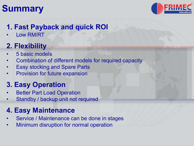## **Summary**



#### **1. Fast Payback and quick ROI**

Low RM/RT

#### **2. Flexibility**

- 5 basic models
- Combination of different models for required capacity
- Easy stocking and Spare Parts
- Provision for future expansion

#### **3. Easy Operation**

- **Better Part Load Operation**
- Standby / backup unit not required

#### **4. Easy Maintenance**

- Service / Maintenance can be done in stages
- Minimum disruption for normal operation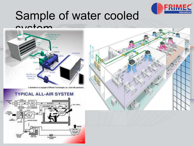

## Sample of water cooled



@ Illustration is a copyright of Efficient Technologies, Inc. Used with permission.

#### **TYPICAL ALL-AIR SYSTEM**